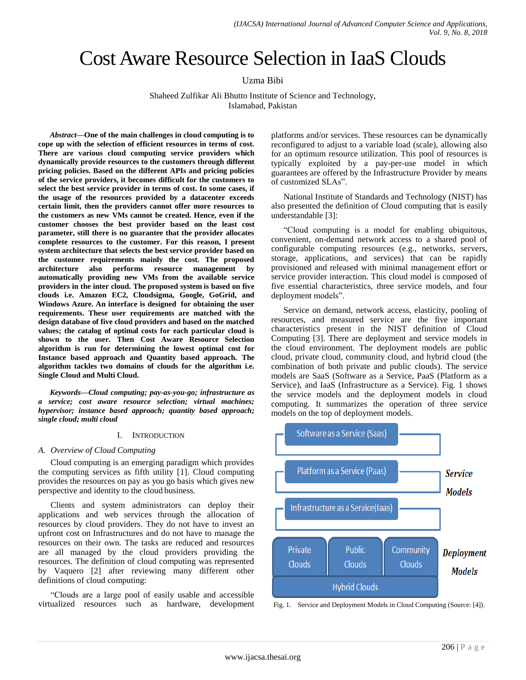# Cost Aware Resource Selection in IaaS Clouds

Uzma Bibi

Shaheed Zulfikar Ali Bhutto Institute of Science and Technology, Islamabad, Pakistan

*Abstract***—One of the main challenges in cloud computing is to cope up with the selection of efficient resources in terms of cost. There are various cloud computing service providers which dynamically provide resources to the customers through different pricing policies. Based on the different APIs and pricing policies of the service providers, it becomes difficult for the customers to select the best service provider in terms of cost. In some cases, if the usage of the resources provided by a datacenter exceeds certain limit, then the providers cannot offer more resources to the customers as new VMs cannot be created. Hence, even if the customer chooses the best provider based on the least cost parameter, still there is no guarantee that the provider allocates complete resources to the customer. For this reason, I present system architecture that selects the best service provider based on the customer requirements mainly the cost. The proposed architecture also performs resource management by automatically providing new VMs from the available service providers in the inter cloud. The proposed system is based on five clouds i.e. Amazon EC2, Cloudsigma, Google, GoGrid, and Windows Azure. An interface is designed for obtaining the user requirements. These user requirements are matched with the design database of five cloud providers and based on the matched values; the catalog of optimal costs for each particular cloud is shown to the user. Then Cost Aware Resource Selection algorithm is run for determining the lowest optimal cost for Instance based approach and Quantity based approach. The algorithm tackles two domains of clouds for the algorithm i.e. Single Cloud and Multi Cloud.**

*Keywords—Cloud computing; pay-as-you-go; infrastructure as a service; cost aware resource selection; virtual machines; hypervisor; instance based approach; quantity based approach; single cloud; multi cloud*

#### I. INTRODUCTION

#### *A. Overview of Cloud Computing*

Cloud computing is an emerging paradigm which provides the computing services as fifth utility [1]. Cloud computing provides the resources on pay as you go basis which gives new perspective and identity to the cloud business.

Clients and system administrators can deploy their applications and web services through the allocation of resources by cloud providers. They do not have to invest an upfront cost on Infrastructures and do not have to manage the resources on their own. The tasks are reduced and resources are all managed by the cloud providers providing the resources. The definition of cloud computing was represented by Vaquero [2] after reviewing many different other definitions of cloud computing:

"Clouds are a large pool of easily usable and accessible virtualized resources such as hardware, development platforms and/or services. These resources can be dynamically reconfigured to adjust to a variable load (scale), allowing also for an optimum resource utilization. This pool of resources is typically exploited by a pay-per-use model in which guarantees are offered by the Infrastructure Provider by means of customized SLAs".

National Institute of Standards and Technology (NIST) has also presented the definition of Cloud computing that is easily understandable [3]:

"Cloud computing is a model for enabling ubiquitous, convenient, on-demand network access to a shared pool of configurable computing resources (e.g., networks, servers, storage, applications, and services) that can be rapidly provisioned and released with minimal management effort or service provider interaction. This cloud model is composed of five essential characteristics, three service models, and four deployment models".

Service on demand, network access, elasticity, pooling of resources, and measured service are the five important characteristics present in the NIST definition of Cloud Computing [3]. There are deployment and service models in the cloud environment. The deployment models are public cloud, private cloud, community cloud, and hybrid cloud (the combination of both private and public clouds). The service models are SaaS (Software as a Service, PaaS (Platform as a Service), and IaaS (Infrastructure as a Service). Fig. 1 shows the service models and the deployment models in cloud computing. It summarizes the operation of three service models on the top of deployment models.



Fig. 1. Service and Deployment Models in Cloud Computing (Source: [4]).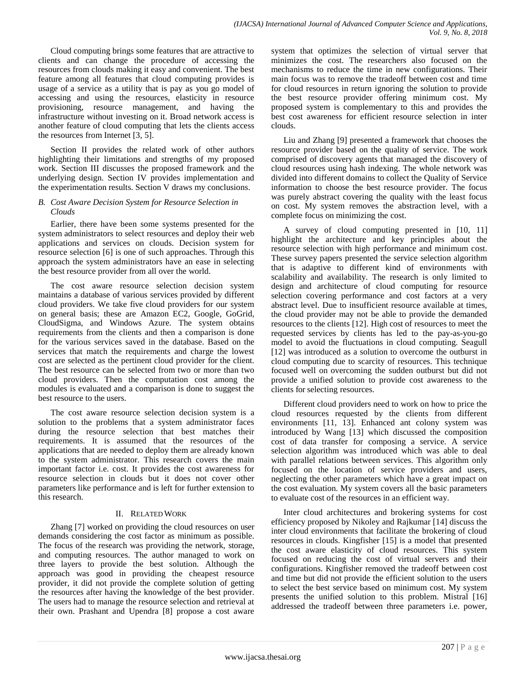Cloud computing brings some features that are attractive to clients and can change the procedure of accessing the resources from clouds making it easy and convenient. The best feature among all features that cloud computing provides is usage of a service as a utility that is pay as you go model of accessing and using the resources, elasticity in resource provisioning, resource management, and having the infrastructure without investing on it. Broad network access is another feature of cloud computing that lets the clients access the resources from Internet [3, 5].

Section II provides the related work of other authors highlighting their limitations and strengths of my proposed work. Section III discusses the proposed framework and the underlying design. Section IV provides implementation and the experimentation results. Section V draws my conclusions.

# *B. Cost Aware Decision System for Resource Selection in Clouds*

Earlier, there have been some systems presented for the system administrators to select resources and deploy their web applications and services on clouds. Decision system for resource selection [6] is one of such approaches. Through this approach the system administrators have an ease in selecting the best resource provider from all over the world.

The cost aware resource selection decision system maintains a database of various services provided by different cloud providers. We take five cloud providers for our system on general basis; these are Amazon EC2, Google, GoGrid, CloudSigma, and Windows Azure. The system obtains requirements from the clients and then a comparison is done for the various services saved in the database. Based on the services that match the requirements and charge the lowest cost are selected as the pertinent cloud provider for the client. The best resource can be selected from two or more than two cloud providers. Then the computation cost among the modules is evaluated and a comparison is done to suggest the best resource to the users.

The cost aware resource selection decision system is a solution to the problems that a system administrator faces during the resource selection that best matches their requirements. It is assumed that the resources of the applications that are needed to deploy them are already known to the system administrator. This research covers the main important factor i.e. cost. It provides the cost awareness for resource selection in clouds but it does not cover other parameters like performance and is left for further extension to this research.

# II. RELATEDWORK

Zhang [7] worked on providing the cloud resources on user demands considering the cost factor as minimum as possible. The focus of the research was providing the network, storage, and computing resources. The author managed to work on three layers to provide the best solution. Although the approach was good in providing the cheapest resource provider, it did not provide the complete solution of getting the resources after having the knowledge of the best provider. The users had to manage the resource selection and retrieval at their own. Prashant and Upendra [8] propose a cost aware

system that optimizes the selection of virtual server that minimizes the cost. The researchers also focused on the mechanisms to reduce the time in new configurations. Their main focus was to remove the tradeoff between cost and time for cloud resources in return ignoring the solution to provide the best resource provider offering minimum cost. My proposed system is complementary to this and provides the best cost awareness for efficient resource selection in inter clouds.

Liu and Zhang [9] presented a framework that chooses the resource provider based on the quality of service. The work comprised of discovery agents that managed the discovery of cloud resources using hash indexing. The whole network was divided into different domains to collect the Quality of Service information to choose the best resource provider. The focus was purely abstract covering the quality with the least focus on cost. My system removes the abstraction level, with a complete focus on minimizing the cost.

A survey of cloud computing presented in [10, 11] highlight the architecture and key principles about the resource selection with high performance and minimum cost. These survey papers presented the service selection algorithm that is adaptive to different kind of environments with scalability and availability. The research is only limited to design and architecture of cloud computing for resource selection covering performance and cost factors at a very abstract level. Due to insufficient resource available at times, the cloud provider may not be able to provide the demanded resources to the clients [12]. High cost of resources to meet the requested services by clients has led to the pay-as-you-go model to avoid the fluctuations in cloud computing. Seagull [12] was introduced as a solution to overcome the outburst in cloud computing due to scarcity of resources. This technique focused well on overcoming the sudden outburst but did not provide a unified solution to provide cost awareness to the clients for selecting resources.

Different cloud providers need to work on how to price the cloud resources requested by the clients from different environments [11, 13]. Enhanced ant colony system was introduced by Wang [13] which discussed the composition cost of data transfer for composing a service. A service selection algorithm was introduced which was able to deal with parallel relations between services. This algorithm only focused on the location of service providers and users, neglecting the other parameters which have a great impact on the cost evaluation. My system covers all the basic parameters to evaluate cost of the resources in an efficient way.

Inter cloud architectures and brokering systems for cost efficiency proposed by Nikoley and Rajkumar [14] discuss the inter cloud environments that facilitate the brokering of cloud resources in clouds. Kingfisher [15] is a model that presented the cost aware elasticity of cloud resources. This system focused on reducing the cost of virtual servers and their configurations. Kingfisher removed the tradeoff between cost and time but did not provide the efficient solution to the users to select the best service based on minimum cost. My system presents the unified solution to this problem. Mistral [16] addressed the tradeoff between three parameters i.e. power,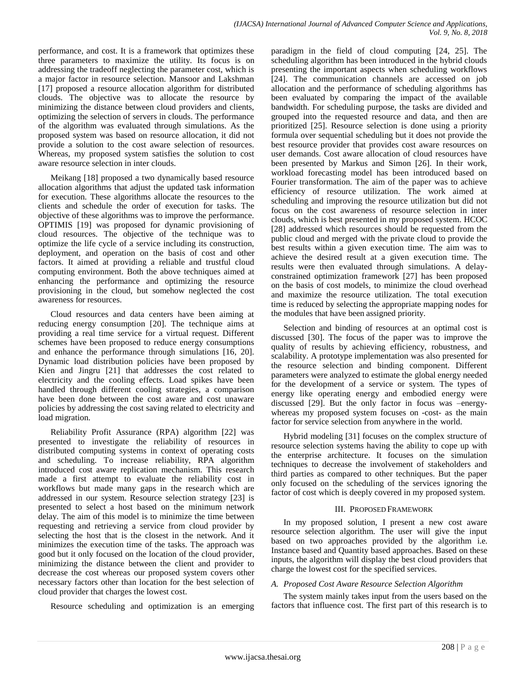performance, and cost. It is a framework that optimizes these three parameters to maximize the utility. Its focus is on addressing the tradeoff neglecting the parameter cost, which is a major factor in resource selection. Mansoor and Lakshman [17] proposed a resource allocation algorithm for distributed clouds. The objective was to allocate the resource by minimizing the distance between cloud providers and clients, optimizing the selection of servers in clouds. The performance of the algorithm was evaluated through simulations. As the proposed system was based on resource allocation, it did not provide a solution to the cost aware selection of resources. Whereas, my proposed system satisfies the solution to cost aware resource selection in inter clouds.

Meikang [18] proposed a two dynamically based resource allocation algorithms that adjust the updated task information for execution. These algorithms allocate the resources to the clients and schedule the order of execution for tasks. The objective of these algorithms was to improve the performance. OPTIMIS [19] was proposed for dynamic provisioning of cloud resources. The objective of the technique was to optimize the life cycle of a service including its construction, deployment, and operation on the basis of cost and other factors. It aimed at providing a reliable and trustful cloud computing environment. Both the above techniques aimed at enhancing the performance and optimizing the resource provisioning in the cloud, but somehow neglected the cost awareness for resources.

Cloud resources and data centers have been aiming at reducing energy consumption [20]. The technique aims at providing a real time service for a virtual request. Different schemes have been proposed to reduce energy consumptions and enhance the performance through simulations [16, 20]. Dynamic load distribution policies have been proposed by Kien and Jingru [21] that addresses the cost related to electricity and the cooling effects. Load spikes have been handled through different cooling strategies, a comparison have been done between the cost aware and cost unaware policies by addressing the cost saving related to electricity and load migration.

Reliability Profit Assurance (RPA) algorithm [22] was presented to investigate the reliability of resources in distributed computing systems in context of operating costs and scheduling. To increase reliability, RPA algorithm introduced cost aware replication mechanism. This research made a first attempt to evaluate the reliability cost in workflows but made many gaps in the research which are addressed in our system. Resource selection strategy [23] is presented to select a host based on the minimum network delay. The aim of this model is to minimize the time between requesting and retrieving a service from cloud provider by selecting the host that is the closest in the network. And it minimizes the execution time of the tasks. The approach was good but it only focused on the location of the cloud provider, minimizing the distance between the client and provider to decrease the cost whereas our proposed system covers other necessary factors other than location for the best selection of cloud provider that charges the lowest cost.

Resource scheduling and optimization is an emerging

paradigm in the field of cloud computing [24, 25]. The scheduling algorithm has been introduced in the hybrid clouds presenting the important aspects when scheduling workflows [24]. The communication channels are accessed on job allocation and the performance of scheduling algorithms has been evaluated by comparing the impact of the available bandwidth. For scheduling purpose, the tasks are divided and grouped into the requested resource and data, and then are prioritized [25]. Resource selection is done using a priority formula over sequential scheduling but it does not provide the best resource provider that provides cost aware resources on user demands. Cost aware allocation of cloud resources have been presented by Markus and Simon [26]. In their work, workload forecasting model has been introduced based on Fourier transformation. The aim of the paper was to achieve efficiency of resource utilization. The work aimed at scheduling and improving the resource utilization but did not focus on the cost awareness of resource selection in inter clouds, which is best presented in my proposed system. HCOC [28] addressed which resources should be requested from the public cloud and merged with the private cloud to provide the best results within a given execution time. The aim was to achieve the desired result at a given execution time. The results were then evaluated through simulations. A delayconstrained optimization framework [27] has been proposed on the basis of cost models, to minimize the cloud overhead and maximize the resource utilization. The total execution time is reduced by selecting the appropriate mapping nodes for the modules that have been assigned priority.

Selection and binding of resources at an optimal cost is discussed [30]. The focus of the paper was to improve the quality of results by achieving efficiency, robustness, and scalability. A prototype implementation was also presented for the resource selection and binding component. Different parameters were analyzed to estimate the global energy needed for the development of a service or system. The types of energy like operating energy and embodied energy were discussed [29]. But the only factor in focus was –energywhereas my proposed system focuses on -cost- as the main factor for service selection from anywhere in the world.

Hybrid modeling [31] focuses on the complex structure of resource selection systems having the ability to cope up with the enterprise architecture. It focuses on the simulation techniques to decrease the involvement of stakeholders and third parties as compared to other techniques. But the paper only focused on the scheduling of the services ignoring the factor of cost which is deeply covered in my proposed system.

# III. PROPOSED FRAMEWORK

In my proposed solution, I present a new cost aware resource selection algorithm. The user will give the input based on two approaches provided by the algorithm i.e. Instance based and Quantity based approaches. Based on these inputs, the algorithm will display the best cloud providers that charge the lowest cost for the specified services.

# *A. Proposed Cost Aware Resource Selection Algorithm*

The system mainly takes input from the users based on the factors that influence cost. The first part of this research is to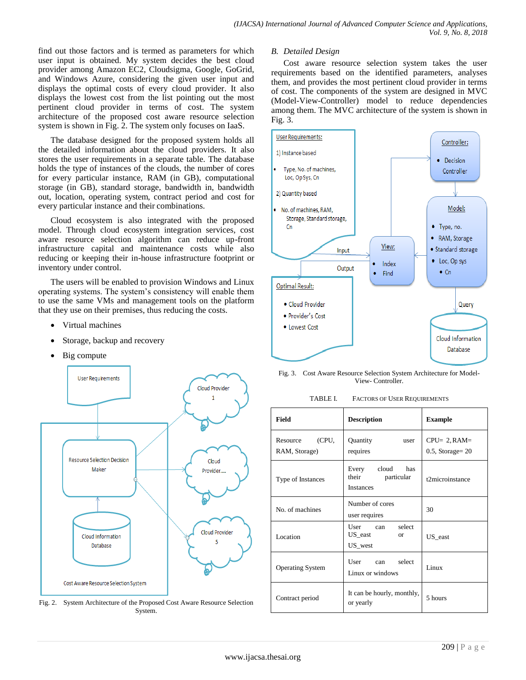find out those factors and is termed as parameters for which user input is obtained. My system decides the best cloud provider among Amazon EC2, Cloudsigma, Google, GoGrid, and Windows Azure, considering the given user input and displays the optimal costs of every cloud provider. It also displays the lowest cost from the list pointing out the most pertinent cloud provider in terms of cost. The system architecture of the proposed cost aware resource selection system is shown in Fig. 2. The system only focuses on IaaS.

The database designed for the proposed system holds all the detailed information about the cloud providers. It also stores the user requirements in a separate table. The database holds the type of instances of the clouds, the number of cores for every particular instance, RAM (in GB), computational storage (in GB), standard storage, bandwidth in, bandwidth out, location, operating system, contract period and cost for every particular instance and their combinations.

Cloud ecosystem is also integrated with the proposed model. Through cloud ecosystem integration services, cost aware resource selection algorithm can reduce up-front infrastructure capital and maintenance costs while also reducing or keeping their in-house infrastructure footprint or inventory under control.

The users will be enabled to provision Windows and Linux operating systems. The system's consistency will enable them to use the same VMs and management tools on the platform that they use on their premises, thus reducing the costs.

- Virtual machines
- Storage, backup and recovery
- Big compute



Fig. 2. System Architecture of the Proposed Cost Aware Resource Selection System.

#### *B. Detailed Design*

Cost aware resource selection system takes the user requirements based on the identified parameters, analyses them, and provides the most pertinent cloud provider in terms of cost. The components of the system are designed in MVC (Model-View-Controller) model to reduce dependencies among them. The MVC architecture of the system is shown in Fig. 3.



Fig. 3. Cost Aware Resource Selection System Architecture for Model-View- Controller.

| <b>FACTORS OF USER REQUIREMENTS</b><br>TABLE I. |  |
|-------------------------------------------------|--|
|-------------------------------------------------|--|

| <b>Field</b>                       | <b>Description</b>                                               | <b>Example</b>                          |  |
|------------------------------------|------------------------------------------------------------------|-----------------------------------------|--|
| (CPU,<br>Resource<br>RAM, Storage) | Quantity<br>user<br>requires                                     | $CPU = 2, RAM =$<br>$0.5$ , Storage= 20 |  |
| Type of Instances                  | Every<br>cloud<br>has<br>their<br>particular<br><b>Instances</b> | t2microinstance                         |  |
| No. of machines                    | Number of cores<br>user requires                                 | 30                                      |  |
| Location                           | select<br>User<br>can<br>US_east<br><sub>or</sub><br>US_west     | US east                                 |  |
| <b>Operating System</b>            | User can select<br>Linux or windows                              | Linux                                   |  |
| Contract period                    | It can be hourly, monthly,<br>or yearly                          | 5 hours                                 |  |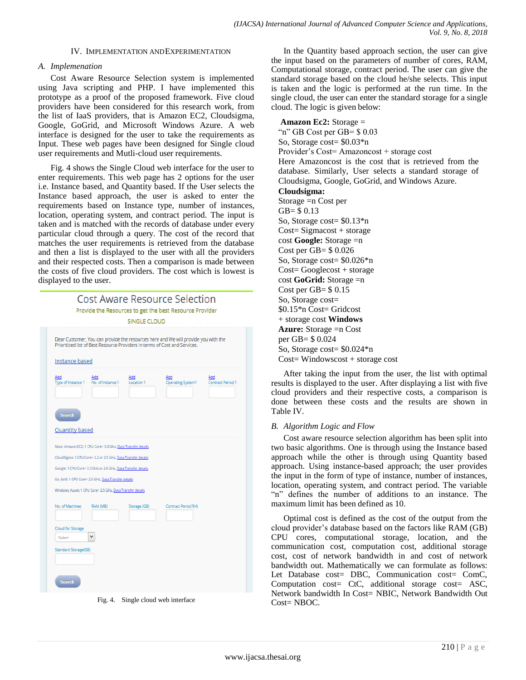## IV. IMPLEMENTATION ANDEXPERIMENTATION

## *A. Implemenation*

Cost Aware Resource Selection system is implemented using Java scripting and PHP. I have implemented this prototype as a proof of the proposed framework. Five cloud providers have been considered for this research work, from the list of IaaS providers, that is Amazon EC2, Cloudsigma, Google, GoGrid, and Microsoft Windows Azure. A web interface is designed for the user to take the requirements as Input. These web pages have been designed for Single cloud user requirements and Mutli-cloud user requirements.

Fig. 4 shows the Single Cloud web interface for the user to enter requirements. This web page has 2 options for the user i.e. Instance based, and Quantity based. If the User selects the Instance based approach, the user is asked to enter the requirements based on Instance type, number of instances, location, operating system, and contract period. The input is taken and is matched with the records of database under every particular cloud through a query. The cost of the record that matches the user requirements is retrieved from the database and then a list is displayed to the user with all the providers and their respected costs. Then a comparison is made between the costs of five cloud providers. The cost which is lowest is displayed to the user.



Fig. 4. Single cloud web interface

In the Quantity based approach section, the user can give the input based on the parameters of number of cores, RAM, Computational storage, contract period. The user can give the standard storage based on the cloud he/she selects. This input is taken and the logic is performed at the run time. In the single cloud, the user can enter the standard storage for a single cloud. The logic is given below:

**Amazon Ec2:** Storage = "n" GB Cost per GB= \$ 0.03 So, Storage cost= \$0.03\*n Provider's Cost= Amazoncost + storage cost Here Amazoncost is the cost that is retrieved from the database. Similarly, User selects a standard storage of Cloudsigma, Google, GoGrid, and Windows Azure. **Cloudsigma:**  Storage =n Cost per GB= \$ 0.13 So, Storage cost= \$0.13\*n  $Cost = Signacost + storage$ cost **Google:** Storage =n Cost per GB= \$ 0.026 So, Storage cost= \$0.026\*n Cost= Googlecost + storage cost **GoGrid:** Storage =n Cost per  $GB = $0.15$ So, Storage cost= \$0.15\*n Cost= Gridcost + storage cost **Windows Azure:** Storage =n Cost per GB= \$ 0.024 So, Storage cost= \$0.024\*n Cost= Windowscost + storage cost

After taking the input from the user, the list with optimal results is displayed to the user. After displaying a list with five cloud providers and their respective costs, a comparison is done between these costs and the results are shown in Table IV.

## *B. Algorithm Logic and Flow*

Cost aware resource selection algorithm has been split into two basic algorithms. One is through using the Instance based approach while the other is through using Quantity based approach. Using instance-based approach; the user provides the input in the form of type of instance, number of instances, location, operating system, and contract period. The variable "n" defines the number of additions to an instance. The maximum limit has been defined as 10.

Optimal cost is defined as the cost of the output from the cloud provider's database based on the factors like RAM (GB) CPU cores, computational storage, location, and the communication cost, computation cost, additional storage cost, cost of network bandwidth in and cost of network bandwidth out. Mathematically we can formulate as follows: Let Database cost= DBC, Communication cost= ComC, Computation cost= CtC, additional storage cost= ASC, Network bandwidth In Cost= NBIC, Network Bandwidth Out Cost= NBOC.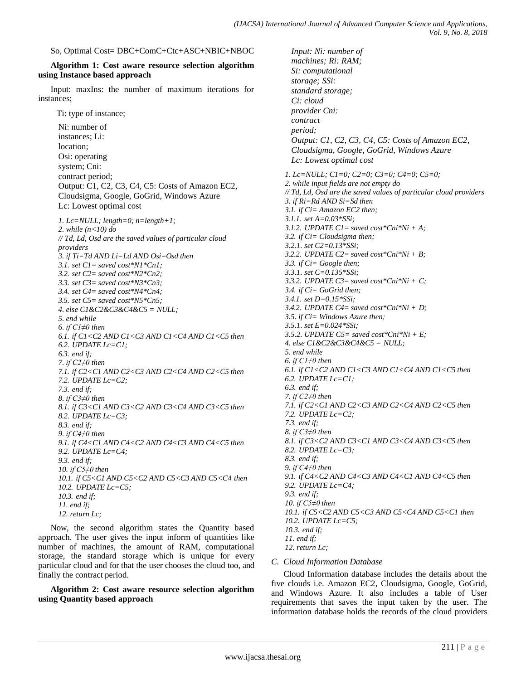So, Optimal Cost= DBC+ComC+Ctc+ASC+NBIC+NBOC

## **Algorithm 1: Cost aware resource selection algorithm using Instance based approach**

Input: maxIns: the number of maximum iterations for instances;

Ti: type of instance;

Ni: number of instances; Li: location; Osi: operating system; Cni: contract period; Output: C1, C2, C3, C4, C5: Costs of Amazon EC2, Cloudsigma, Google, GoGrid, Windows Azure Lc: Lowest optimal cost *1. Lc=NULL; length=0; n=length+1; 2. while (n<10) do // Td, Ld, Osd are the saved values of particular cloud providers 3. if Ti=Td AND Li=Ld AND Osi=Osd then 3.1. set C1= saved cost\*N1\*Cn1; 3.2. set C2= saved cost\*N2\*Cn2; 3.3. set C3= saved cost\*N3\*Cn3; 3.4. set C4= saved cost\*N4\*Cn4; 3.5. set C5= saved cost\*N5\*Cn5; 4. else C1&C2&C3&C4&C5 = NULL; 5. end while 6. if C1≠0 then 6.1. if C1<C2 AND C1<C3 AND C1<C4 AND C1<C5 then 6.2. UPDATE Lc=C1; 6.3. end if; 7. if C2≠0 then 7.1. if C2<C1 AND C2<C3 AND C2<C4 AND C2<C5 then 7.2. UPDATE Lc=C2; 7.3. end if; 8. if C3≠0 then 8.1. if C3<C1 AND C3<C2 AND C3<C4 AND C3<C5 then 8.2. UPDATE Lc=C3; 8.3. end if; 9. if C4≠0 then 9.1. if C4<C1 AND C4<C2 AND C4<C3 AND C4<C5 then 9.2. UPDATE Lc=C4; 9.3. end if; 10. if C5≠0 then 10.1. if C5<C1 AND C5<C2 AND C5<C3 AND C5<C4 then 10.2. UPDATE Lc=C5; 10.3. end if; 11. end if; 12. return Lc;*

Now, the second algorithm states the Quantity based approach. The user gives the input inform of quantities like number of machines, the amount of RAM, computational storage, the standard storage which is unique for every particular cloud and for that the user chooses the cloud too, and finally the contract period.

**Algorithm 2: Cost aware resource selection algorithm using Quantity based approach**

*Input: Ni: number of machines; Ri: RAM; Si: computational storage; SSi: standard storage; Ci: cloud provider Cni: contract period; Output: C1, C2, C3, C4, C5: Costs of Amazon EC2, Cloudsigma, Google, GoGrid, Windows Azure Lc: Lowest optimal cost 1. Lc=NULL; C1=0; C2=0; C3=0; C4=0; C5=0; 2. while input fields are not empty do // Td, Ld, Osd are the saved values of particular cloud providers 3. if Ri=Rd AND Si=Sd then 3.1. if Ci= Amazon EC2 then; 3.1.1. set A=0.03\*SSi; 3.1.2. UPDATE C1= saved cost\*Cni\*Ni + A; 3.2. if Ci= Cloudsigma then; 3.2.1. set C2=0.13\*SSi; 3.2.2. UPDATE C2= saved cost\*Cni\*Ni + B; 3.3. if Ci= Google then; 3.3.1. set C=0.135\*SSi; 3.3.2. UPDATE C3= saved cost\*Cni\*Ni + C; 3.4. if Ci= GoGrid then; 3.4.1. set D=0.15\*SSi; 3.4.2. UPDATE C4= saved cost\*Cni\*Ni + D; 3.5. if Ci= Windows Azure then; 3.5.1. set E=0.024\*SSi; 3.5.2. UPDATE C5= saved cost\*Cni\*Ni + E; 4. else C1&C2&C3&C4&C5 = NULL; 5. end while 6. if C1≠0 then 6.1. if C1<C2 AND C1<C3 AND C1<C4 AND C1<C5 then 6.2. UPDATE Lc=C1; 6.3. end if; 7. if C2≠0 then 7.1. if C2<C1 AND C2<C3 AND C2<C4 AND C2<C5 then 7.2. UPDATE Lc=C2; 7.3. end if; 8. if C3≠0 then 8.1. if C3<C2 AND C3<C1 AND C3<C4 AND C3<C5 then 8.2. UPDATE Lc=C3; 8.3. end if; 9. if C4≠0 then 9.1. if C4<C2 AND C4<C3 AND C4<C1 AND C4<C5 then 9.2. UPDATE Lc=C4; 9.3. end if; 10. if C5≠0 then 10.1. if C5<C2 AND C5<C3 AND C5<C4 AND C5<C1 then 10.2. UPDATE Lc=C5; 10.3. end if; 11. end if; 12. return Lc;*

*C. Cloud Information Database*

Cloud Information database includes the details about the five clouds i.e. Amazon EC2, Cloudsigma, Google, GoGrid, and Windows Azure. It also includes a table of User requirements that saves the input taken by the user. The information database holds the records of the cloud providers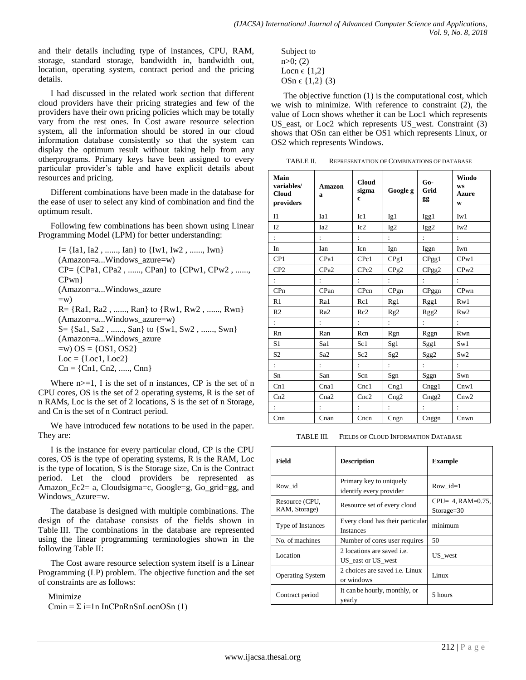and their details including type of instances, CPU, RAM, storage, standard storage, bandwidth in, bandwidth out, location, operating system, contract period and the pricing details.

I had discussed in the related work section that different cloud providers have their pricing strategies and few of the providers have their own pricing policies which may be totally vary from the rest ones. In Cost aware resource selection system, all the information should be stored in our cloud information database consistently so that the system can display the optimum result without taking help from any otherprograms. Primary keys have been assigned to every particular provider's table and have explicit details about resources and pricing.

Different combinations have been made in the database for the ease of user to select any kind of combination and find the optimum result.

Following few combinations has been shown using Linear Programming Model (LPM) for better understanding:

```
I = \{Ia1, Ia2, \ldots, Ian\} to \{Iw1, Iw2, \ldots, Iwn\}(Amazon=a...Windows_azure=w)
CP = \{CPa1, CPa2, \ldots, CPan\} to \{CPw1, CPw2, \ldots,CPwn} 
(Amazon=a...Windows_azure
=w)
R = \{Ra1, Ra2, \ldots, Ran\} to \{Rw1, Rw2, \ldots, Rwn\}(Amazon=a...Windows_azure=w)
S = \{Sa1, Sa2, \ldots, San\} to \{Sw1, Sw2, \ldots, Swn\}(Amazon=a...Windows_azure
=w) OS = {OS1, OS2}
Loc = \{Loc1, Loc2\}Cn = \{Cn1, Cn2, \ldots, Cnn\}
```
Where  $n>=1$ , I is the set of n instances, CP is the set of n CPU cores, OS is the set of 2 operating systems, R is the set of n RAMs, Loc is the set of 2 locations, S is the set of n Storage, and Cn is the set of n Contract period.

We have introduced few notations to be used in the paper. They are:

I is the instance for every particular cloud, CP is the CPU cores, OS is the type of operating systems, R is the RAM, Loc is the type of location, S is the Storage size, Cn is the Contract period. Let the cloud providers be represented as Amazon Ec2= a, Cloudsigma=c, Google=g, Go\_grid=gg, and Windows\_Azure=w.

The database is designed with multiple combinations. The design of the database consists of the fields shown in Table III. The combinations in the database are represented using the linear programming terminologies shown in the following Table II:

The Cost aware resource selection system itself is a Linear Programming (LP) problem. The objective function and the set of constraints are as follows:

Minimize

Cmin =  $\Sigma$  i=1n InCPnRnSnLocnOSn (1)

Subject to n>0; (2) Locn  $\in \{1,2\}$ OSn  $\in \{1,2\}$  (3)

The objective function (1) is the computational cost, which we wish to minimize. With reference to constraint (2), the value of Locn shows whether it can be Loc1 which represents US\_east, or Loc2 which represents US\_west. Constraint (3) shows that OSn can either be OS1 which represents Linux, or OS2 which represents Windows.

TABLE II. REPRESENTATION OF COMBINATIONS OF DATABASE

| Main<br>variables/<br><b>Cloud</b><br>providers | <b>Amazon</b><br>a | <b>Cloud</b><br>sigma<br>$\mathbf c$ | Google g         | $Go-$<br>Grid<br>gg | Windo<br><b>WS</b><br><b>Azure</b><br>W |
|-------------------------------------------------|--------------------|--------------------------------------|------------------|---------------------|-----------------------------------------|
| I1                                              | Ia1                | Ic1                                  | Ig1              | Igg1                | Iw1                                     |
| I2                                              | Ia <sub>2</sub>    | Ic2                                  | Ig2              | Igg2                | Iw2                                     |
| ÷                                               |                    | $\mathbf{r}$                         |                  |                     |                                         |
| In                                              | Ian                | Icn                                  | Ign              | Iggn                | Iwn                                     |
| CP1                                             | CPa1               | CPc1                                 | CPg1             | CPgg1               | CPw1                                    |
| CP <sub>2</sub>                                 | CPa <sub>2</sub>   | CPc <sub>2</sub>                     | CPg <sub>2</sub> | CPgg2               | CPw2                                    |
| $\ddot{\cdot}$                                  |                    | $\ddot{\cdot}$                       |                  |                     |                                         |
| CPn                                             | CPan               | CPcn                                 | CPgn             | CPggn               | CPwn                                    |
| R1                                              | Ra1                | Rc1                                  | Rg1              | Rgg1                | Rw1                                     |
| R <sub>2</sub>                                  | Ra <sub>2</sub>    | Rc2                                  | Rg2              | Rgg2                | Rw2                                     |
| ÷                                               |                    |                                      |                  |                     |                                         |
| Rn                                              | Ran                | Rcn                                  | Rgn              | Rggn                | Rwn                                     |
| S <sub>1</sub>                                  | Sa1                | Sc1                                  | Sg1              | Sgg1                | Sw1                                     |
| S <sub>2</sub>                                  | Sa <sub>2</sub>    | Sc <sub>2</sub>                      | Sg <sub>2</sub>  | Sgg2                | Sw2                                     |
| ÷                                               |                    |                                      |                  |                     |                                         |
| Sn                                              | San                | Scn                                  | Sgn              | Sggn                | Swn                                     |
| Cn1                                             | Cna1               | Cnc1                                 | Cng1             | Cngg1               | $Cn$ w1                                 |
| Cn2                                             | Cna2               | Cnc2                                 | Cng2             | Cngg2               | Cnw2                                    |
|                                                 |                    |                                      | $\ddot{\cdot}$   |                     |                                         |
| Cnn                                             | Cnan               | Cncn                                 | Cngn             | Cnggn               | Cnwn                                    |

TABLE III. FIELDS OF CLOUD INFORMATION DATABASE

| Field                           | <b>Description</b>                                      | <b>Example</b>                           |
|---------------------------------|---------------------------------------------------------|------------------------------------------|
| Row id                          | Primary key to uniquely<br>identify every provider      | Row $id=1$                               |
| Resource (CPU,<br>RAM, Storage) | Resource set of every cloud                             | $CPU = 4, RAM = 0.75,$<br>$Storage = 30$ |
| Type of Instances               | Every cloud has their particular<br><b>Instances</b>    | minimum                                  |
| No. of machines                 | Number of cores user requires                           | 50                                       |
| Location                        | 2 locations are saved <i>i.e.</i><br>US_east or US_west | US west                                  |
| <b>Operating System</b>         | 2 choices are saved <i>i.e.</i> Linux<br>or windows     | Linux                                    |
| Contract period                 | It can be hourly, monthly, or<br>yearly                 | 5 hours                                  |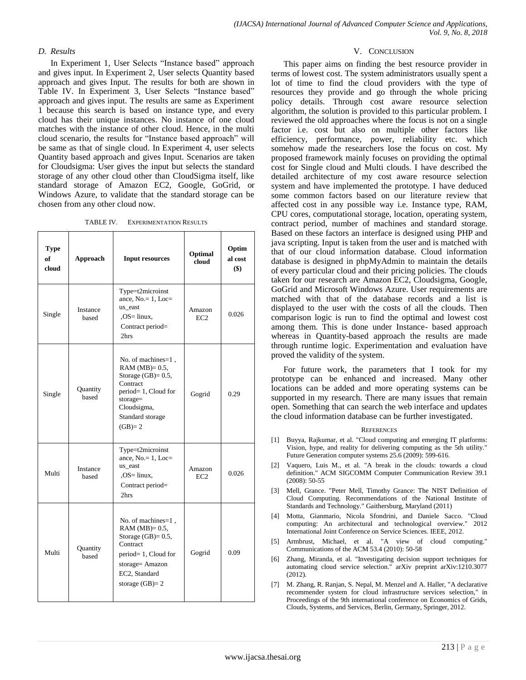## *D. Results*

In Experiment 1, User Selects "Instance based" approach and gives input. In Experiment 2, User selects Quantity based approach and gives Input. The results for both are shown in Table IV. In Experiment 3, User Selects "Instance based" approach and gives input. The results are same as Experiment 1 because this search is based on instance type, and every cloud has their unique instances. No instance of one cloud matches with the instance of other cloud. Hence, in the multi cloud scenario, the results for "Instance based approach" will be same as that of single cloud. In Experiment 4, user selects Quantity based approach and gives Input. Scenarios are taken for Cloudsigma: User gives the input but selects the standard storage of any other cloud other than CloudSigma itself, like standard storage of Amazon EC2, Google, GoGrid, or Windows Azure, to validate that the standard storage can be chosen from any other cloud now.

TABLE IV. EXPERIMENTATION RESULTS

| <b>Type</b><br>of<br>cloud | Approach          | <b>Input resources</b>                                                                                                                                          | Optimal<br>cloud          | Optim<br>al cost<br>$($)$ |
|----------------------------|-------------------|-----------------------------------------------------------------------------------------------------------------------------------------------------------------|---------------------------|---------------------------|
| Single                     | Instance<br>based | Type=t2microinst<br>ance, $No = 1$ , $Loc =$<br>us east<br>$OS = \text{linux}$ ,<br>Contract period=<br>2hrs                                                    | Amazon<br>EC <sub>2</sub> | 0.026                     |
| Single                     | Quantity<br>based | No. of machines=1,<br>RAM $(MB)=0.5$ ,<br>Storage $(GB)=0.5$ ,<br>Contract<br>period=1, Cloud for<br>$storage =$<br>Cloudsigma,<br>Standard storage<br>$(GB)=2$ | Gogrid                    | 0.29                      |
| Multi                      | Instance<br>based | Type=t2microinst<br>ance, No. = 1, Loc=<br>us east<br>$OS = \text{linux}$ ,<br>Contract period=<br>2hrs                                                         | Amazon<br>EC <sub>2</sub> | 0.026                     |
| Multi                      | Quantity<br>based | No. of machines=1,<br>RAM $(MB)=0.5$ ,<br>Storage $(GB)=0.5$ ,<br>Contract<br>period=1, Cloud for<br>storage= Amazon<br>EC2, Standard<br>storage $(GB)=2$       | Gogrid                    | 0.09                      |

#### V. CONCLUSION

This paper aims on finding the best resource provider in terms of lowest cost. The system administrators usually spent a lot of time to find the cloud providers with the type of resources they provide and go through the whole pricing policy details. Through cost aware resource selection algorithm, the solution is provided to this particular problem. I reviewed the old approaches where the focus is not on a single factor i.e. cost but also on multiple other factors like efficiency, performance, power, reliability etc. which somehow made the researchers lose the focus on cost. My proposed framework mainly focuses on providing the optimal cost for Single cloud and Multi clouds. I have described the detailed architecture of my cost aware resource selection system and have implemented the prototype. I have deduced some common factors based on our literature review that affected cost in any possible way i.e. Instance type, RAM, CPU cores, computational storage, location, operating system, contract period, number of machines and standard storage. Based on these factors an interface is designed using PHP and java scripting. Input is taken from the user and is matched with that of our cloud information database. Cloud information database is designed in phpMyAdmin to maintain the details of every particular cloud and their pricing policies. The clouds taken for our research are Amazon EC2, Cloudsigma, Google, GoGrid and Microsoft Windows Azure. User requirements are matched with that of the database records and a list is displayed to the user with the costs of all the clouds. Then comparison logic is run to find the optimal and lowest cost among them. This is done under Instance- based approach whereas in Quantity-based approach the results are made through runtime logic. Experimentation and evaluation have proved the validity of the system.

For future work, the parameters that I took for my prototype can be enhanced and increased. Many other locations can be added and more operating systems can be supported in my research. There are many issues that remain open. Something that can search the web interface and updates the cloud information database can be further investigated.

#### **REFERENCES**

- [1] Buyya, Rajkumar, et al. "Cloud computing and emerging IT platforms: Vision, hype, and reality for delivering computing as the 5th utility." Future Generation computer systems 25.6 (2009): 599-616.
- [2] Vaquero, Luis M., et al. "A break in the clouds: towards a cloud definition." ACM SIGCOMM Computer Communication Review 39.1 (2008): 50-55
- [3] Mell, Grance. "Peter Mell, Timothy Grance: The NIST Definition of Cloud Computing. Recommendations of the National Institute of Standards and Technology." Gaithersburg, Maryland (2011)
- [4] Motta, Gianmario, Nicola Sfondrini, and Daniele Sacco. "Cloud computing: An architectural and technological overview." 2012 International Joint Conference on Service Sciences. IEEE, 2012.
- [5] Armbrust, Michael, et al. "A view of cloud computing." Communications of the ACM 53.4 (2010): 50-58
- [6] Zhang, Miranda, et al. "Investigating decision support techniques for automating cloud service selection." arXiv preprint arXiv:1210.3077 (2012).
- [7] M. Zhang, R. Ranjan, S. Nepal, M. Menzel and A. Haller, "A declarative recommender system for cloud infrastructure services selection," in Proceedings of the 9th international conference on Economics of Grids, Clouds, Systems, and Services, Berlin, Germany, Springer, 2012.